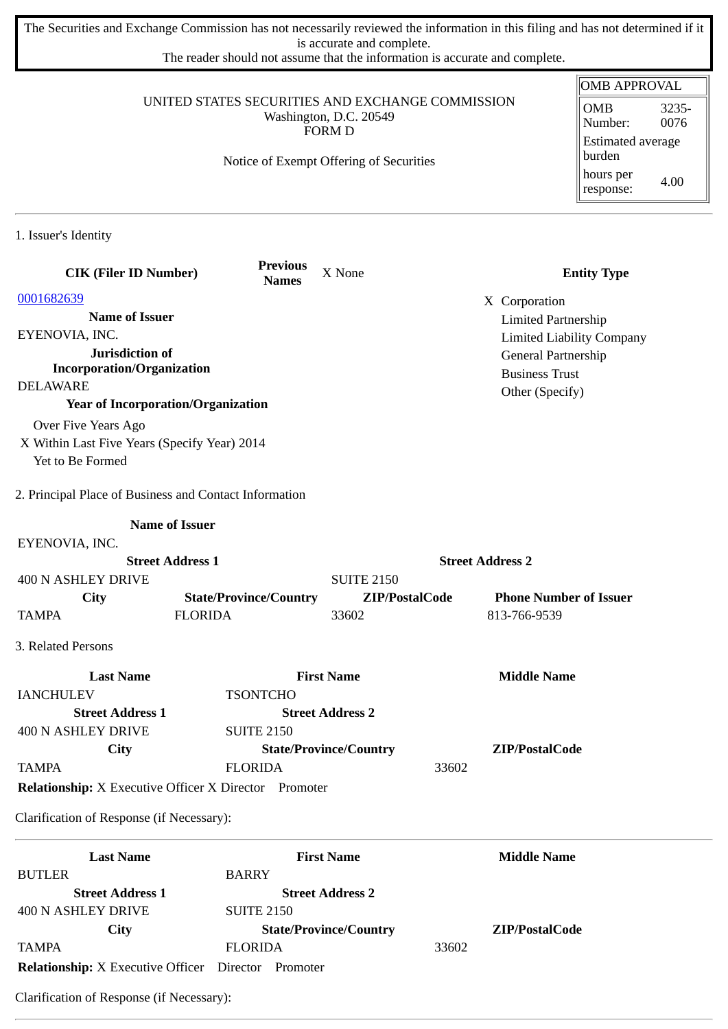The Securities and Exchange Commission has not necessarily reviewed the information in this filing and has not determined if it is accurate and complete.

The reader should not assume that the information is accurate and complete.

|                                                                            |                                 |                               |                                        | <b>OMB APPROVAL</b>              |  |
|----------------------------------------------------------------------------|---------------------------------|-------------------------------|----------------------------------------|----------------------------------|--|
| UNITED STATES SECURITIES AND EXCHANGE COMMISSION<br>Washington, D.C. 20549 |                                 |                               | <b>OMB</b><br>3235-<br>0076<br>Number: |                                  |  |
| <b>FORM D</b><br>Notice of Exempt Offering of Securities                   |                                 |                               |                                        | Estimated average<br>burden      |  |
|                                                                            |                                 |                               |                                        | hours per<br>4.00<br>response:   |  |
| 1. Issuer's Identity                                                       |                                 |                               |                                        |                                  |  |
| <b>CIK (Filer ID Number)</b>                                               | <b>Previous</b><br><b>Names</b> | X None                        |                                        | <b>Entity Type</b>               |  |
| 0001682639                                                                 |                                 |                               | X Corporation                          |                                  |  |
| <b>Name of Issuer</b>                                                      |                                 |                               |                                        | <b>Limited Partnership</b>       |  |
| EYENOVIA, INC.                                                             |                                 |                               |                                        | <b>Limited Liability Company</b> |  |
| <b>Jurisdiction of</b>                                                     |                                 |                               |                                        | General Partnership              |  |
| <b>Incorporation/Organization</b><br><b>DELAWARE</b>                       |                                 |                               | <b>Business Trust</b>                  |                                  |  |
| <b>Year of Incorporation/Organization</b>                                  |                                 |                               | Other (Specify)                        |                                  |  |
| Over Five Years Ago                                                        |                                 |                               |                                        |                                  |  |
| X Within Last Five Years (Specify Year) 2014                               |                                 |                               |                                        |                                  |  |
| Yet to Be Formed                                                           |                                 |                               |                                        |                                  |  |
|                                                                            |                                 |                               |                                        |                                  |  |
| 2. Principal Place of Business and Contact Information                     |                                 |                               |                                        |                                  |  |
|                                                                            | <b>Name of Issuer</b>           |                               |                                        |                                  |  |
| EYENOVIA, INC.                                                             |                                 |                               |                                        |                                  |  |
|                                                                            | <b>Street Address 1</b>         |                               | <b>Street Address 2</b>                |                                  |  |
| <b>400 N ASHLEY DRIVE</b>                                                  |                                 | <b>SUITE 2150</b>             |                                        |                                  |  |
| City                                                                       | <b>State/Province/Country</b>   | ZIP/PostalCode                |                                        | <b>Phone Number of Issuer</b>    |  |
| <b>TAMPA</b>                                                               | <b>FLORIDA</b>                  | 33602                         | 813-766-9539                           |                                  |  |
| 3. Related Persons                                                         |                                 |                               |                                        |                                  |  |
| <b>Last Name</b>                                                           |                                 | <b>First Name</b>             | <b>Middle Name</b>                     |                                  |  |
| <b>IANCHULEV</b>                                                           | <b>TSONTCHO</b>                 |                               |                                        |                                  |  |
| <b>Street Address 1</b>                                                    |                                 | <b>Street Address 2</b>       |                                        |                                  |  |
| <b>400 N ASHLEY DRIVE</b>                                                  | <b>SUITE 2150</b>               |                               |                                        |                                  |  |
| <b>City</b>                                                                |                                 | <b>State/Province/Country</b> | ZIP/PostalCode                         |                                  |  |
| <b>TAMPA</b>                                                               | <b>FLORIDA</b>                  |                               | 33602                                  |                                  |  |
| <b>Relationship:</b> X Executive Officer X Director Promoter               |                                 |                               |                                        |                                  |  |
| Clarification of Response (if Necessary):                                  |                                 |                               |                                        |                                  |  |
| <b>Last Name</b>                                                           |                                 | <b>First Name</b>             | <b>Middle Name</b>                     |                                  |  |
| <b>BUTLER</b>                                                              | <b>BARRY</b>                    |                               |                                        |                                  |  |
| <b>Street Address 1</b>                                                    |                                 | <b>Street Address 2</b>       |                                        |                                  |  |
| 400 N ASHLEY DRIVE                                                         | <b>SUITE 2150</b>               |                               |                                        |                                  |  |
| <b>City</b>                                                                |                                 | <b>State/Province/Country</b> | ZIP/PostalCode                         |                                  |  |

Clarification of Response (if Necessary):

**Relationship:** X Executive Officer Director Promoter

TAMPA FLORIDA 33602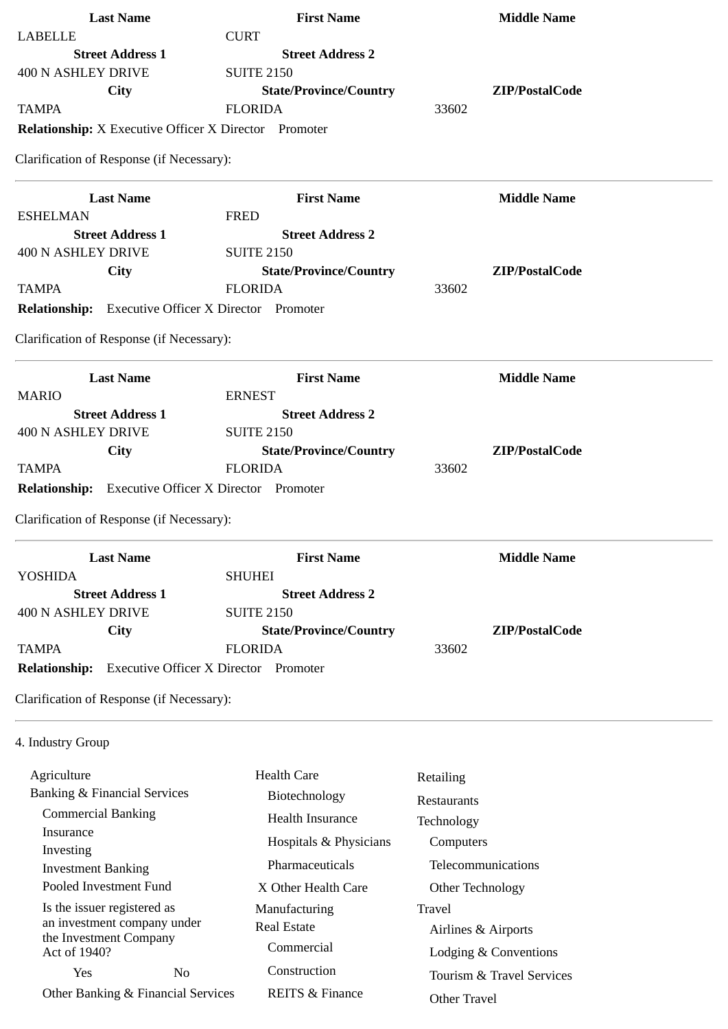| <b>Last Name</b>                                                     | <b>First Name</b>             | <b>Middle Name</b>        |
|----------------------------------------------------------------------|-------------------------------|---------------------------|
| <b>LABELLE</b>                                                       | <b>CURT</b>                   |                           |
| <b>Street Address 1</b>                                              | <b>Street Address 2</b>       |                           |
| <b>400 N ASHLEY DRIVE</b>                                            | <b>SUITE 2150</b>             |                           |
| <b>City</b>                                                          | <b>State/Province/Country</b> | ZIP/PostalCode            |
| <b>TAMPA</b>                                                         | <b>FLORIDA</b>                | 33602                     |
| <b>Relationship:</b> X Executive Officer X Director Promoter         |                               |                           |
| Clarification of Response (if Necessary):                            |                               |                           |
| <b>Last Name</b>                                                     | <b>First Name</b>             | <b>Middle Name</b>        |
| <b>ESHELMAN</b>                                                      | <b>FRED</b>                   |                           |
| <b>Street Address 1</b>                                              | <b>Street Address 2</b>       |                           |
| <b>400 N ASHLEY DRIVE</b>                                            | <b>SUITE 2150</b>             |                           |
| City                                                                 | <b>State/Province/Country</b> | ZIP/PostalCode            |
| <b>TAMPA</b>                                                         | <b>FLORIDA</b>                | 33602                     |
| <b>Relationship:</b> Executive Officer X Director Promoter           |                               |                           |
| Clarification of Response (if Necessary):                            |                               |                           |
| <b>Last Name</b>                                                     | <b>First Name</b>             | <b>Middle Name</b>        |
| <b>MARIO</b>                                                         | <b>ERNEST</b>                 |                           |
| <b>Street Address 1</b>                                              | <b>Street Address 2</b>       |                           |
| <b>400 N ASHLEY DRIVE</b>                                            | <b>SUITE 2150</b>             |                           |
| <b>City</b>                                                          | <b>State/Province/Country</b> | ZIP/PostalCode            |
| <b>TAMPA</b>                                                         | <b>FLORIDA</b>                | 33602                     |
| Relationship: Executive Officer X Director Promoter                  |                               |                           |
| Clarification of Response (if Necessary):                            |                               |                           |
| <b>Last Name</b>                                                     | <b>First Name</b>             | <b>Middle Name</b>        |
| YOSHIDA                                                              | <b>SHUHEI</b>                 |                           |
| <b>Street Address 1</b>                                              | <b>Street Address 2</b>       |                           |
| <b>400 N ASHLEY DRIVE</b>                                            | <b>SUITE 2150</b>             |                           |
| City                                                                 | <b>State/Province/Country</b> | ZIP/PostalCode            |
| <b>TAMPA</b>                                                         | <b>FLORIDA</b>                | 33602                     |
| <b>Executive Officer X Director Promoter</b><br><b>Relationship:</b> |                               |                           |
| Clarification of Response (if Necessary):                            |                               |                           |
| 4. Industry Group                                                    |                               |                           |
| Agriculture                                                          | <b>Health Care</b>            | Retailing                 |
| <b>Banking &amp; Financial Services</b>                              | Biotechnology                 |                           |
| <b>Commercial Banking</b>                                            |                               | Restaurants               |
| Insurance                                                            | Health Insurance              | Technology                |
| Investing                                                            | Hospitals & Physicians        | Computers                 |
| <b>Investment Banking</b>                                            | Pharmaceuticals               | Telecommunications        |
| Pooled Investment Fund                                               | X Other Health Care           | Other Technology          |
| Is the issuer registered as                                          | Manufacturing                 | <b>Travel</b>             |
| an investment company under                                          | <b>Real Estate</b>            | Airlines & Airports       |
| the Investment Company                                               | Commercial                    |                           |
| Act of 1940?                                                         |                               | Lodging & Conventions     |
| N <sub>o</sub><br>Yes                                                | Construction                  | Tourism & Travel Services |
| Other Banking & Financial Services                                   | <b>REITS &amp; Finance</b>    | Other Travel              |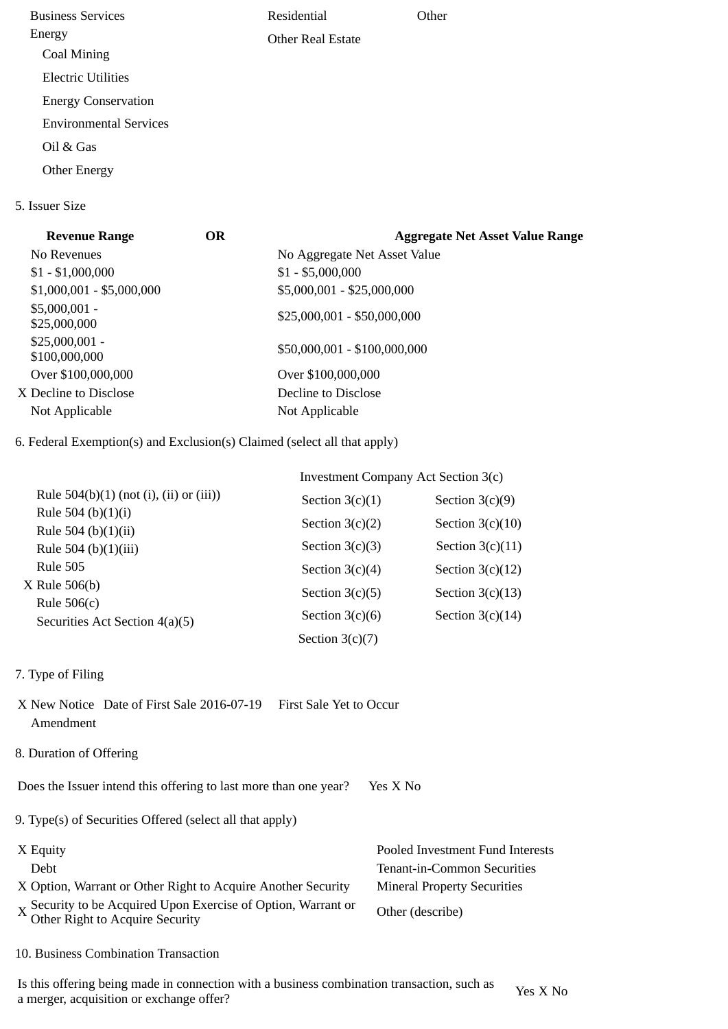Business Services Energy Coal Mining Electric Utilities Energy Conservation Environmental Services Oil & Gas Other Energy Residential Other Real Estate **Other** 

## 5. Issuer Size

| <b>Revenue Range</b>             | <b>OR</b> | <b>Aggregate Net Asset Value Range</b> |
|----------------------------------|-----------|----------------------------------------|
| No Revenues                      |           | No Aggregate Net Asset Value           |
| $$1 - $1,000,000$                |           | $$1 - $5,000,000$                      |
| $$1,000,001 - $5,000,000$        |           | \$5,000,001 - \$25,000,000             |
| $$5,000,001 -$<br>\$25,000,000   |           | $$25,000,001 - $50,000,000$            |
| $$25,000,001 -$<br>\$100,000,000 |           | \$50,000,001 - \$100,000,000           |
| Over \$100,000,000               |           | Over \$100,000,000                     |
| X Decline to Disclose            |           | Decline to Disclose                    |
| Not Applicable                   |           | Not Applicable                         |
|                                  |           |                                        |

6. Federal Exemption(s) and Exclusion(s) Claimed (select all that apply)

|                                                 | Investment Company Act Section 3(c) |                    |  |
|-------------------------------------------------|-------------------------------------|--------------------|--|
| Rule $504(b)(1)$ (not (i), (ii) or (iii))       | Section $3(c)(1)$                   | Section $3(c)(9)$  |  |
| Rule 504 (b) $(1)(i)$<br>Rule 504 (b) $(1)(ii)$ | Section $3(c)(2)$                   | Section $3(c)(10)$ |  |
| Rule 504 (b)(1)(iii)                            | Section $3(c)(3)$                   | Section $3(c)(11)$ |  |
| <b>Rule 505</b>                                 | Section $3(c)(4)$                   | Section $3(c)(12)$ |  |
| $X$ Rule 506(b)<br>Rule $506(c)$                | Section $3(c)(5)$                   | Section $3(c)(13)$ |  |
| Securities Act Section 4(a)(5)                  | Section $3(c)(6)$                   | Section $3(c)(14)$ |  |
|                                                 | Section $3(c)(7)$                   |                    |  |

- 7. Type of Filing
- X New Notice Date of First Sale 2016-07-19 First Sale Yet to Occur Amendment
- 8. Duration of Offering

Does the Issuer intend this offering to last more than one year? Yes X No

9. Type(s) of Securities Offered (select all that apply)

| X Equity                                                                                      | Pooled Investment Fund Interests   |
|-----------------------------------------------------------------------------------------------|------------------------------------|
| Debt                                                                                          | Tenant-in-Common Securities        |
| X Option, Warrant or Other Right to Acquire Another Security                                  | <b>Mineral Property Securities</b> |
| X Security to be Acquired Upon Exercise of Option, Warrant or Other Right to Acquire Security | Other (describe)                   |

10. Business Combination Transaction

Is this offering being made in connection with a business combination transaction, such as is this oriening being made in connection with a business combination transaction, such as  $Y$ es X No a merger, acquisition or exchange offer?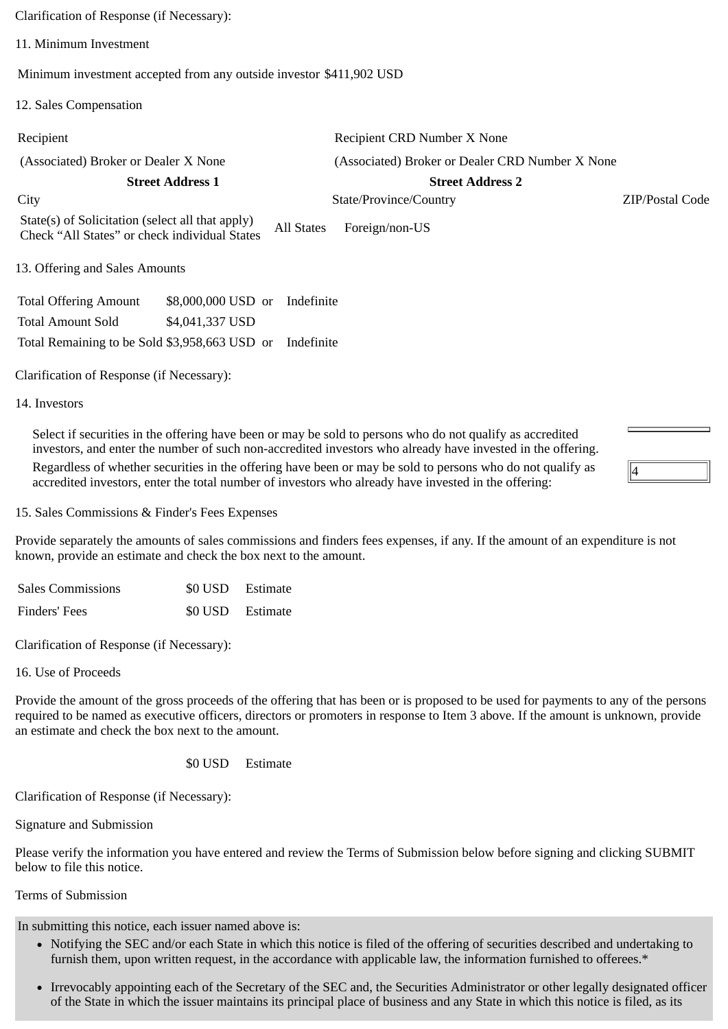Clarification of Response (if Necessary):

11. Minimum Investment

Minimum investment accepted from any outside investor \$411,902 USD

12. Sales Compensation

| Recipient                                                                                                       | Recipient CRD Number X None                     |                 |  |
|-----------------------------------------------------------------------------------------------------------------|-------------------------------------------------|-----------------|--|
| (Associated) Broker or Dealer X None                                                                            | (Associated) Broker or Dealer CRD Number X None |                 |  |
| <b>Street Address 1</b><br><b>Street Address 2</b>                                                              |                                                 |                 |  |
| City                                                                                                            | State/Province/Country                          | ZIP/Postal Code |  |
| State(s) of Solicitation (select all that apply)<br>All States<br>Check "All States" or check individual States | Foreign/non-US                                  |                 |  |
| 13. Offering and Sales Amounts                                                                                  |                                                 |                 |  |
| \$8,000,000 USD or<br><b>Total Offering Amount</b><br>Indefinite                                                |                                                 |                 |  |
| <b>Total Amount Sold</b><br>\$4,041,337 USD                                                                     |                                                 |                 |  |
| Total Remaining to be Sold \$3,958,663 USD or<br>Indefinite                                                     |                                                 |                 |  |

Clarification of Response (if Necessary):

14. Investors

Select if securities in the offering have been or may be sold to persons who do not qualify as accredited investors, and enter the number of such non-accredited investors who already have invested in the offering. Regardless of whether securities in the offering have been or may be sold to persons who do not qualify as accredited investors, enter the total number of investors who already have invested in the offering:

15. Sales Commissions & Finder's Fees Expenses

Provide separately the amounts of sales commissions and finders fees expenses, if any. If the amount of an expenditure is not known, provide an estimate and check the box next to the amount.

4

| <b>Sales Commissions</b> | \$0 USD Estimate |
|--------------------------|------------------|
| Finders' Fees            | \$0 USD Estimate |

Clarification of Response (if Necessary):

16. Use of Proceeds

Provide the amount of the gross proceeds of the offering that has been or is proposed to be used for payments to any of the persons required to be named as executive officers, directors or promoters in response to Item 3 above. If the amount is unknown, provide an estimate and check the box next to the amount.

\$0 USD Estimate

Clarification of Response (if Necessary):

Signature and Submission

Please verify the information you have entered and review the Terms of Submission below before signing and clicking SUBMIT below to file this notice.

Terms of Submission

In submitting this notice, each issuer named above is:

- Notifying the SEC and/or each State in which this notice is filed of the offering of securities described and undertaking to furnish them, upon written request, in the accordance with applicable law, the information furnished to offerees.\*
- Irrevocably appointing each of the Secretary of the SEC and, the Securities Administrator or other legally designated officer of the State in which the issuer maintains its principal place of business and any State in which this notice is filed, as its